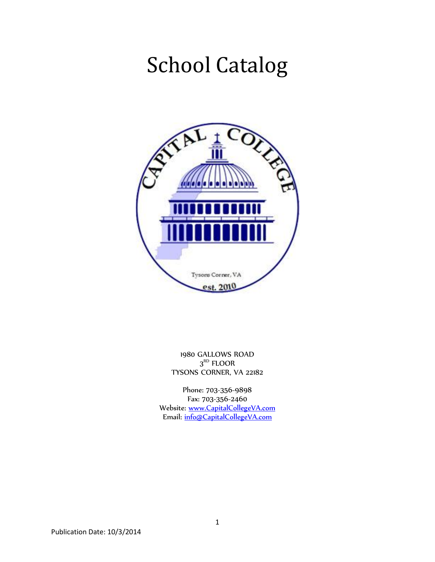# School Catalog



1980 GALLOWS ROAD  $3<sup>RD</sup>$  FLOOR TYSONS CORNER, VA 22182

Phone: 703-356-9898 Fax: 703-356-2460 Website: [www.CapitalCollegeVA.com](http://www.capitalcollegeva.com/) Email: [info@CapitalCollegeVA.com](mailto:info@capitalcollegeva.com)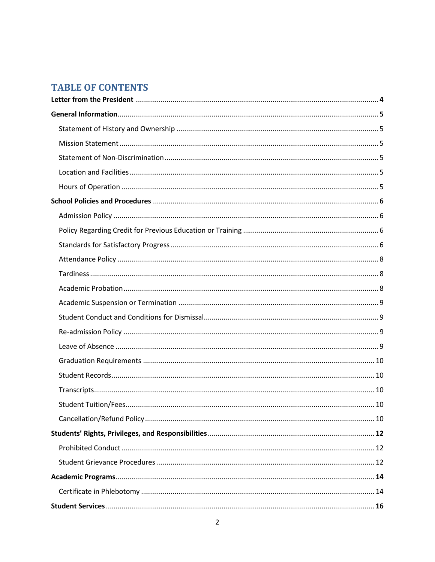### **TABLE OF CONTENTS**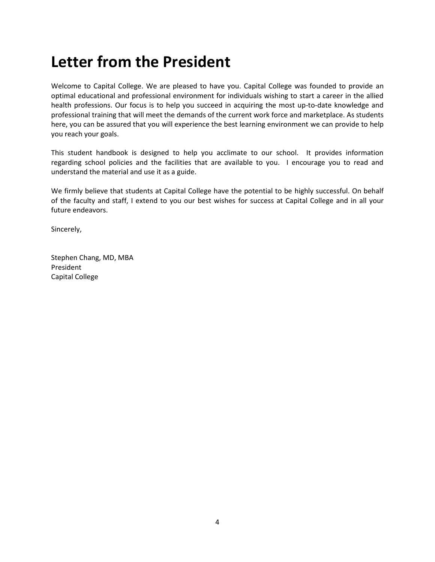### **Letter from the President**

Welcome to Capital College. We are pleased to have you. Capital College was founded to provide an optimal educational and professional environment for individuals wishing to start a career in the allied health professions. Our focus is to help you succeed in acquiring the most up-to-date knowledge and professional training that will meet the demands of the current work force and marketplace. As students here, you can be assured that you will experience the best learning environment we can provide to help you reach your goals.

This student handbook is designed to help you acclimate to our school. It provides information regarding school policies and the facilities that are available to you. I encourage you to read and understand the material and use it as a guide.

We firmly believe that students at Capital College have the potential to be highly successful. On behalf of the faculty and staff, I extend to you our best wishes for success at Capital College and in all your future endeavors.

Sincerely,

Stephen Chang, MD, MBA President Capital College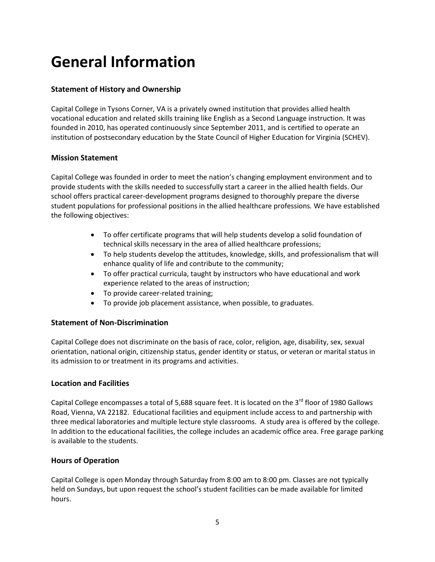### **General Information**

#### **Statement of History and Ownership**

Capital College in Tysons Corner, VA is a privately owned institution that provides allied health vocational education and related skills training like English as a Second Language instruction. It was founded in 2010, has operated continuously since September 2011, and is certified to operate an institution of postsecondary education by the State Council of Higher Education for Virginia (SCHEV).

#### **Mission Statement**

Capital College was founded in order to meet the nation's changing employment environment and to provide students with the skills needed to successfully start a career in the allied health fields. Our school offers practical career-development programs designed to thoroughly prepare the diverse student populations for professional positions in the allied healthcare professions*.* We have established the following objectives:

- To offer certificate programs that will help students develop a solid foundation of technical skills necessary in the area of allied healthcare professions;
- To help students develop the attitudes, knowledge, skills, and professionalism that will enhance quality of life and contribute to the community;
- To offer practical curricula, taught by instructors who have educational and work experience related to the areas of instruction;
- To provide career-related training;
- To provide job placement assistance, when possible, to graduates.

#### **Statement of Non-Discrimination**

Capital College does not discriminate on the basis of race, color, religion, age, disability, sex, sexual orientation, national origin, citizenship status, gender identity or status, or veteran or marital status in its admission to or treatment in its programs and activities.

#### **Location and Facilities**

Capital College encompasses a total of 5,688 square feet. It is located on the 3<sup>rd</sup> floor of 1980 Gallows Road, Vienna, VA 22182. Educational facilities and equipment include access to and partnership with three medical laboratories and multiple lecture style classrooms. A study area is offered by the college. In addition to the educational facilities, the college includes an academic office area. Free garage parking is available to the students.

#### **Hours of Operation**

Capital College is open Monday through Saturday from 8:00 am to 8:00 pm. Classes are not typically held on Sundays, but upon request the school's student facilities can be made available for limited hours.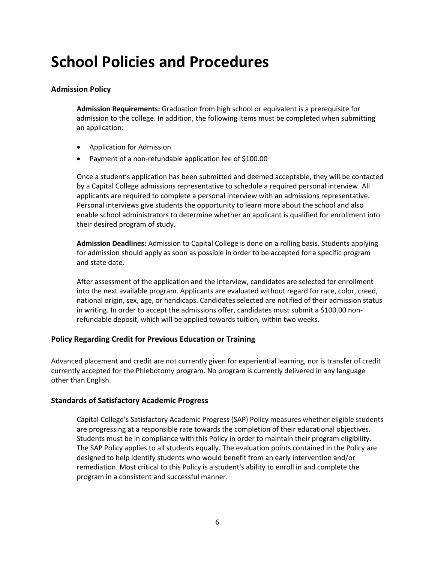### **School Policies and Procedures**

#### **Admission Policy**

**Admission Requirements:** Graduation from high school or equivalent is a prerequisite for admission to the college. In addition, the following items must be completed when submitting an application:

- Application for Admission
- Payment of a non-refundable application fee of \$100.00

Once a student's application has been submitted and deemed acceptable, they will be contacted by a Capital College admissions representative to schedule a required personal interview. All applicants are required to complete a personal interview with an admissions representative. Personal interviews give students the opportunity to learn more about the school and also enable school administrators to determine whether an applicant is qualified for enrollment into their desired program of study.

**Admission Deadlines:** Admission to Capital College is done on a rolling basis. Students applying for admission should apply as soon as possible in order to be accepted for a specific program and state date.

After assessment of the application and the interview, candidates are selected for enrollment into the next available program. Applicants are evaluated without regard for race, color, creed, national origin, sex, age, or handicaps. Candidates selected are notified of their admission status in writing. In order to accept the admissions offer, candidates must submit a \$100.00 nonrefundable deposit, which will be applied towards tuition, within two weeks.

#### **Policy Regarding Credit for Previous Education or Training**

Advanced placement and credit are not currently given for experiential learning, nor is transfer of credit currently accepted for the Phlebotomy program. No program is currently delivered in any language other than English.

#### **Standards of Satisfactory Academic Progress**

Capital College's Satisfactory Academic Progress (SAP) Policy measures whether eligible students are progressing at a responsible rate towards the completion of their educational objectives. Students must be in compliance with this Policy in order to maintain their program eligibility. The SAP Policy applies to all students equally. The evaluation points contained in the Policy are designed to help identify students who would benefit from an early intervention and/or remediation. Most critical to this Policy is a student's ability to enroll in and complete the program in a consistent and successful manner.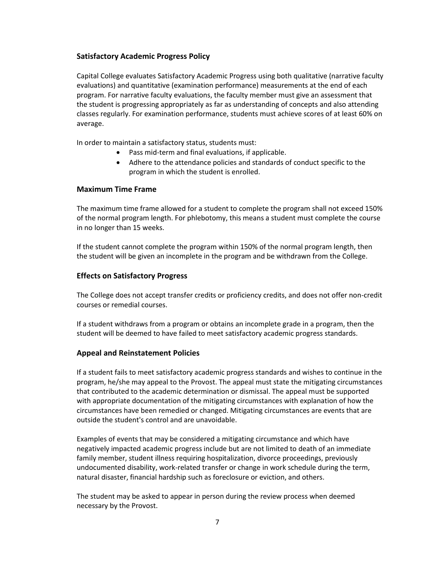#### **Satisfactory Academic Progress Policy**

Capital College evaluates Satisfactory Academic Progress using both qualitative (narrative faculty evaluations) and quantitative (examination performance) measurements at the end of each program. For narrative faculty evaluations, the faculty member must give an assessment that the student is progressing appropriately as far as understanding of concepts and also attending classes regularly. For examination performance, students must achieve scores of at least 60% on average.

In order to maintain a satisfactory status, students must:

- Pass mid-term and final evaluations, if applicable.
- Adhere to the attendance policies and standards of conduct specific to the program in which the student is enrolled.

#### **Maximum Time Frame**

The maximum time frame allowed for a student to complete the program shall not exceed 150% of the normal program length. For phlebotomy, this means a student must complete the course in no longer than 15 weeks.

If the student cannot complete the program within 150% of the normal program length, then the student will be given an incomplete in the program and be withdrawn from the College.

#### **Effects on Satisfactory Progress**

The College does not accept transfer credits or proficiency credits, and does not offer non-credit courses or remedial courses.

If a student withdraws from a program or obtains an incomplete grade in a program, then the student will be deemed to have failed to meet satisfactory academic progress standards.

#### **Appeal and Reinstatement Policies**

If a student fails to meet satisfactory academic progress standards and wishes to continue in the program, he/she may appeal to the Provost. The appeal must state the mitigating circumstances that contributed to the academic determination or dismissal. The appeal must be supported with appropriate documentation of the mitigating circumstances with explanation of how the circumstances have been remedied or changed. Mitigating circumstances are events that are outside the student's control and are unavoidable.

Examples of events that may be considered a mitigating circumstance and which have negatively impacted academic progress include but are not limited to death of an immediate family member, student illness requiring hospitalization, divorce proceedings, previously undocumented disability, work-related transfer or change in work schedule during the term, natural disaster, financial hardship such as foreclosure or eviction, and others.

The student may be asked to appear in person during the review process when deemed necessary by the Provost.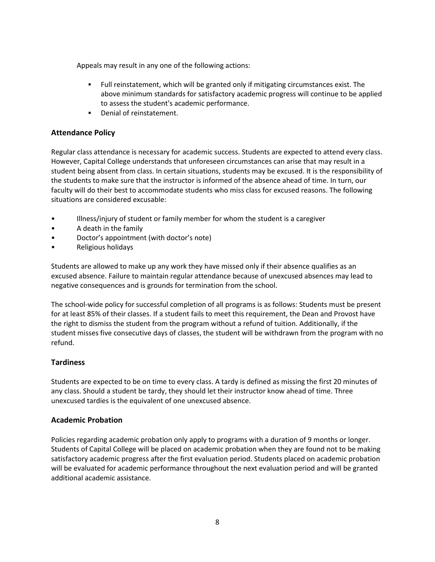Appeals may result in any one of the following actions:

- Full reinstatement, which will be granted only if mitigating circumstances exist. The above minimum standards for satisfactory academic progress will continue to be applied to assess the student's academic performance.
- **•** Denial of reinstatement.

#### **Attendance Policy**

Regular class attendance is necessary for academic success. Students are expected to attend every class. However, Capital College understands that unforeseen circumstances can arise that may result in a student being absent from class. In certain situations, students may be excused. It is the responsibility of the students to make sure that the instructor is informed of the absence ahead of time. In turn, our faculty will do their best to accommodate students who miss class for excused reasons. The following situations are considered excusable:

- Illness/injury of student or family member for whom the student is a caregiver
- A death in the family
- Doctor's appointment (with doctor's note)
- Religious holidays

Students are allowed to make up any work they have missed only if their absence qualifies as an excused absence. Failure to maintain regular attendance because of unexcused absences may lead to negative consequences and is grounds for termination from the school.

The school-wide policy for successful completion of all programs is as follows: Students must be present for at least 85% of their classes. If a student fails to meet this requirement, the Dean and Provost have the right to dismiss the student from the program without a refund of tuition. Additionally, if the student misses five consecutive days of classes, the student will be withdrawn from the program with no refund.

#### **Tardiness**

Students are expected to be on time to every class. A tardy is defined as missing the first 20 minutes of any class. Should a student be tardy, they should let their instructor know ahead of time. Three unexcused tardies is the equivalent of one unexcused absence.

#### **Academic Probation**

Policies regarding academic probation only apply to programs with a duration of 9 months or longer. Students of Capital College will be placed on academic probation when they are found not to be making satisfactory academic progress after the first evaluation period. Students placed on academic probation will be evaluated for academic performance throughout the next evaluation period and will be granted additional academic assistance.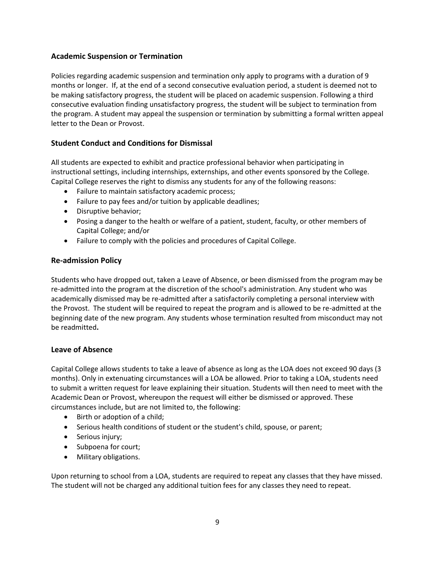#### **Academic Suspension or Termination**

Policies regarding academic suspension and termination only apply to programs with a duration of 9 months or longer. If, at the end of a second consecutive evaluation period, a student is deemed not to be making satisfactory progress, the student will be placed on academic suspension. Following a third consecutive evaluation finding unsatisfactory progress, the student will be subject to termination from the program. A student may appeal the suspension or termination by submitting a formal written appeal letter to the Dean or Provost.

#### **Student Conduct and Conditions for Dismissal**

All students are expected to exhibit and practice professional behavior when participating in instructional settings, including internships, externships, and other events sponsored by the College. Capital College reserves the right to dismiss any students for any of the following reasons:

- Failure to maintain satisfactory academic process;
- Failure to pay fees and/or tuition by applicable deadlines;
- Disruptive behavior;
- Posing a danger to the health or welfare of a patient, student, faculty, or other members of Capital College; and/or
- Failure to comply with the policies and procedures of Capital College.

#### **Re-admission Policy**

Students who have dropped out, taken a Leave of Absence, or been dismissed from the program may be re-admitted into the program at the discretion of the school's administration. Any student who was academically dismissed may be re-admitted after a satisfactorily completing a personal interview with the Provost. The student will be required to repeat the program and is allowed to be re-admitted at the beginning date of the new program. Any students whose termination resulted from misconduct may not be readmitted**.**

#### **Leave of Absence**

Capital College allows students to take a leave of absence as long as the LOA does not exceed 90 days (3 months). Only in extenuating circumstances will a LOA be allowed. Prior to taking a LOA, students need to submit a written request for leave explaining their situation. Students will then need to meet with the Academic Dean or Provost, whereupon the request will either be dismissed or approved. These circumstances include, but are not limited to, the following:

- Birth or adoption of a child;
- Serious health conditions of student or the student's child, spouse, or parent;
- Serious injury;
- Subpoena for court;
- Military obligations.

Upon returning to school from a LOA, students are required to repeat any classes that they have missed. The student will not be charged any additional tuition fees for any classes they need to repeat.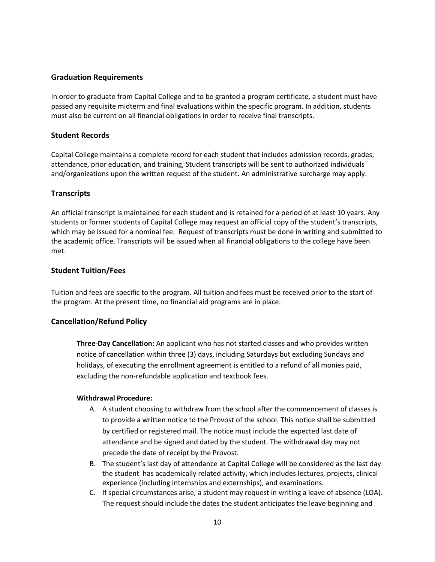#### **Graduation Requirements**

In order to graduate from Capital College and to be granted a program certificate, a student must have passed any requisite midterm and final evaluations within the specific program. In addition, students must also be current on all financial obligations in order to receive final transcripts.

#### **Student Records**

Capital College maintains a complete record for each student that includes admission records, grades, attendance, prior education, and training, Student transcripts will be sent to authorized individuals and/organizations upon the written request of the student. An administrative surcharge may apply.

#### **Transcripts**

An official transcript is maintained for each student and is retained for a period of at least 10 years. Any students or former students of Capital College may request an official copy of the student's transcripts, which may be issued for a nominal fee. Request of transcripts must be done in writing and submitted to the academic office. Transcripts will be issued when all financial obligations to the college have been met.

#### **Student Tuition/Fees**

Tuition and fees are specific to the program. All tuition and fees must be received prior to the start of the program. At the present time, no financial aid programs are in place.

#### **Cancellation/Refund Policy**

**Three-Day Cancellation:** An applicant who has not started classes and who provides written notice of cancellation within three (3) days, including Saturdays but excluding Sundays and holidays, of executing the enrollment agreement is entitled to a refund of all monies paid, excluding the non-refundable application and textbook fees.

#### **Withdrawal Procedure:**

- A. A student choosing to withdraw from the school after the commencement of classes is to provide a written notice to the Provost of the school. This notice shall be submitted by certified or registered mail. The notice must include the expected last date of attendance and be signed and dated by the student. The withdrawal day may not precede the date of receipt by the Provost.
- B. The student's last day of attendance at Capital College will be considered as the last day the student has academically related activity, which includes lectures, projects, clinical experience (including internships and externships), and examinations.
- C. If special circumstances arise, a student may request in writing a leave of absence (LOA). The request should include the dates the student anticipates the leave beginning and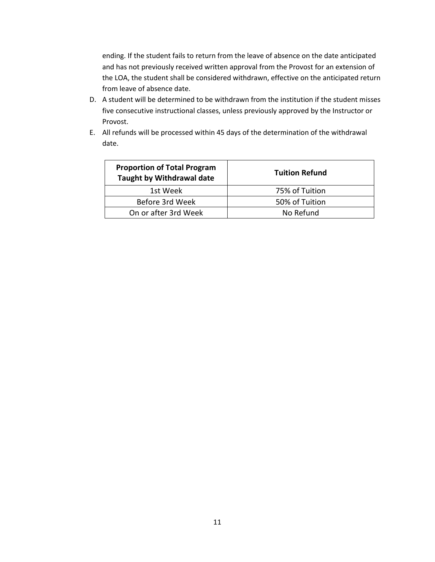ending. If the student fails to return from the leave of absence on the date anticipated and has not previously received written approval from the Provost for an extension of the LOA, the student shall be considered withdrawn, effective on the anticipated return from leave of absence date.

- D. A student will be determined to be withdrawn from the institution if the student misses five consecutive instructional classes, unless previously approved by the Instructor or Provost.
- E. All refunds will be processed within 45 days of the determination of the withdrawal date.

| <b>Proportion of Total Program</b><br>Taught by Withdrawal date | <b>Tuition Refund</b> |
|-----------------------------------------------------------------|-----------------------|
| 1st Week                                                        | 75% of Tuition        |
| Before 3rd Week                                                 | 50% of Tuition        |
| On or after 3rd Week                                            | No Refund             |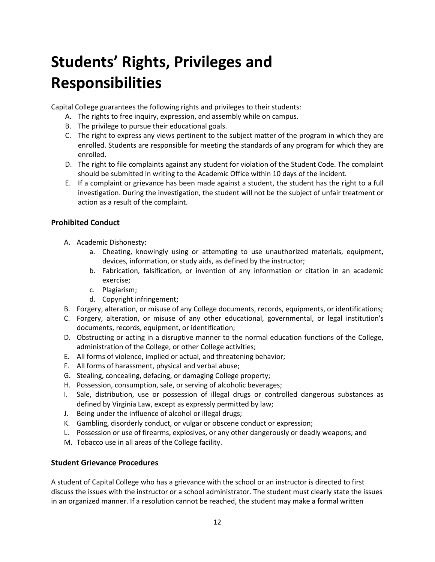## **Students' Rights, Privileges and Responsibilities**

Capital College guarantees the following rights and privileges to their students:

- A. The rights to free inquiry, expression, and assembly while on campus.
- B. The privilege to pursue their educational goals.
- C. The right to express any views pertinent to the subject matter of the program in which they are enrolled. Students are responsible for meeting the standards of any program for which they are enrolled.
- D. The right to file complaints against any student for violation of the Student Code. The complaint should be submitted in writing to the Academic Office within 10 days of the incident.
- E. If a complaint or grievance has been made against a student, the student has the right to a full investigation. During the investigation, the student will not be the subject of unfair treatment or action as a result of the complaint.

#### **Prohibited Conduct**

- A. Academic Dishonesty:
	- a. Cheating, knowingly using or attempting to use unauthorized materials, equipment, devices, information, or study aids, as defined by the instructor;
	- b. Fabrication, falsification, or invention of any information or citation in an academic exercise;
	- c. Plagiarism;
	- d. Copyright infringement;
- B. Forgery, alteration, or misuse of any College documents, records, equipments, or identifications;
- C. Forgery, alteration, or misuse of any other educational, governmental, or legal institution's documents, records, equipment, or identification;
- D. Obstructing or acting in a disruptive manner to the normal education functions of the College, administration of the College, or other College activities;
- E. All forms of violence, implied or actual, and threatening behavior;
- F. All forms of harassment, physical and verbal abuse;
- G. Stealing, concealing, defacing, or damaging College property;
- H. Possession, consumption, sale, or serving of alcoholic beverages;
- I. Sale, distribution, use or possession of illegal drugs or controlled dangerous substances as defined by Virginia Law, except as expressly permitted by law;
- J. Being under the influence of alcohol or illegal drugs;
- K. Gambling, disorderly conduct, or vulgar or obscene conduct or expression;
- L. Possession or use of firearms, explosives, or any other dangerously or deadly weapons; and
- M. Tobacco use in all areas of the College facility.

#### **Student Grievance Procedures**

A student of Capital College who has a grievance with the school or an instructor is directed to first discuss the issues with the instructor or a school administrator. The student must clearly state the issues in an organized manner. If a resolution cannot be reached, the student may make a formal written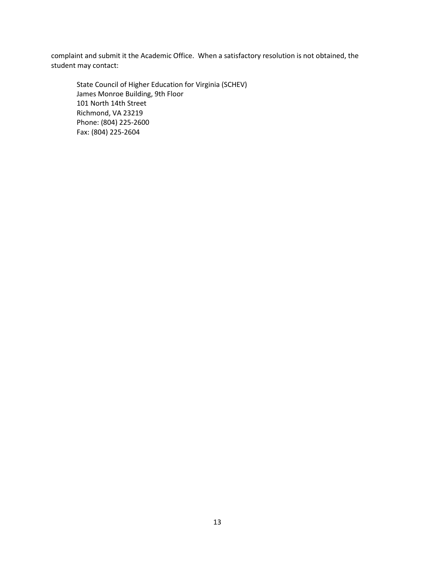complaint and submit it the Academic Office. When a satisfactory resolution is not obtained, the student may contact:

State Council of Higher Education for Virginia (SCHEV) James Monroe Building, 9th Floor 101 North 14th Street Richmond, VA 23219 Phone: (804) 225-2600 Fax: (804) 225-2604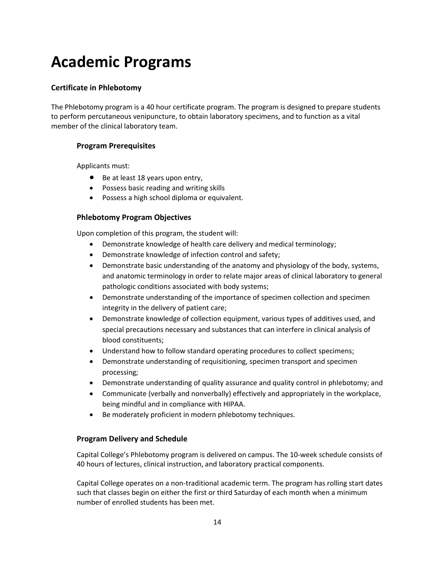### **Academic Programs**

#### **Certificate in Phlebotomy**

The Phlebotomy program is a 40 hour certificate program. The program is designed to prepare students to perform percutaneous venipuncture, to obtain laboratory specimens, and to function as a vital member of the clinical laboratory team.

#### **Program Prerequisites**

Applicants must:

- Be at least 18 years upon entry,
- Possess basic reading and writing skills
- Possess a high school diploma or equivalent.

#### **Phlebotomy Program Objectives**

Upon completion of this program, the student will:

- Demonstrate knowledge of health care delivery and medical terminology;
- Demonstrate knowledge of infection control and safety;
- Demonstrate basic understanding of the anatomy and physiology of the body, systems, and anatomic terminology in order to relate major areas of clinical laboratory to general pathologic conditions associated with body systems;
- Demonstrate understanding of the importance of specimen collection and specimen integrity in the delivery of patient care;
- Demonstrate knowledge of collection equipment, various types of additives used, and special precautions necessary and substances that can interfere in clinical analysis of blood constituents;
- Understand how to follow standard operating procedures to collect specimens;
- Demonstrate understanding of requisitioning, specimen transport and specimen processing;
- Demonstrate understanding of quality assurance and quality control in phlebotomy; and
- Communicate (verbally and nonverbally) effectively and appropriately in the workplace, being mindful and in compliance with HIPAA.
- Be moderately proficient in modern phlebotomy techniques.

#### **Program Delivery and Schedule**

Capital College's Phlebotomy program is delivered on campus. The 10-week schedule consists of 40 hours of lectures, clinical instruction, and laboratory practical components.

Capital College operates on a non-traditional academic term. The program has rolling start dates such that classes begin on either the first or third Saturday of each month when a minimum number of enrolled students has been met.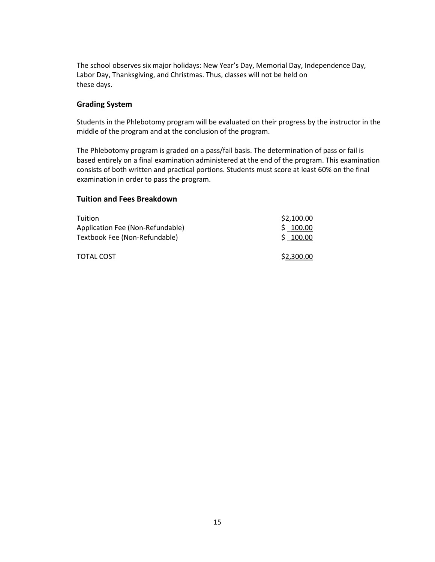The school observes six major holidays: New Year's Day, Memorial Day, Independence Day, Labor Day, Thanksgiving, and Christmas. Thus, classes will not be held on these days.

#### **Grading System**

Students in the Phlebotomy program will be evaluated on their progress by the instructor in the middle of the program and at the conclusion of the program.

The Phlebotomy program is graded on a pass/fail basis. The determination of pass or fail is based entirely on a final examination administered at the end of the program. This examination consists of both written and practical portions. Students must score at least 60% on the final examination in order to pass the program.

#### **Tuition and Fees Breakdown**

| <b>Tuition</b>                   | \$2,100.00 |
|----------------------------------|------------|
| Application Fee (Non-Refundable) | \$100.00   |
| Textbook Fee (Non-Refundable)    | \$100.00   |
| TOTAL COST                       | \$2,300.00 |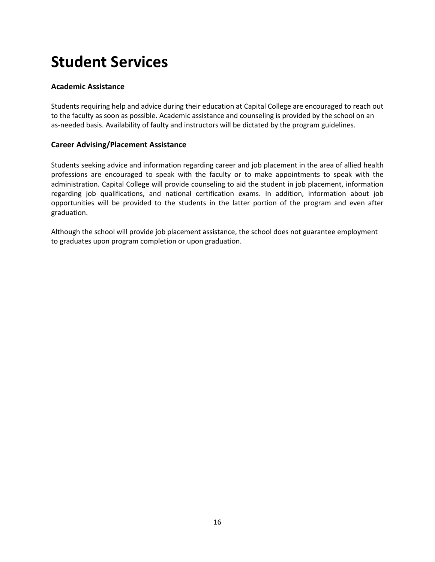### **Student Services**

#### **Academic Assistance**

Students requiring help and advice during their education at Capital College are encouraged to reach out to the faculty as soon as possible. Academic assistance and counseling is provided by the school on an as-needed basis. Availability of faulty and instructors will be dictated by the program guidelines.

#### **Career Advising/Placement Assistance**

Students seeking advice and information regarding career and job placement in the area of allied health professions are encouraged to speak with the faculty or to make appointments to speak with the administration. Capital College will provide counseling to aid the student in job placement, information regarding job qualifications, and national certification exams. In addition, information about job opportunities will be provided to the students in the latter portion of the program and even after graduation.

Although the school will provide job placement assistance, the school does not guarantee employment to graduates upon program completion or upon graduation.